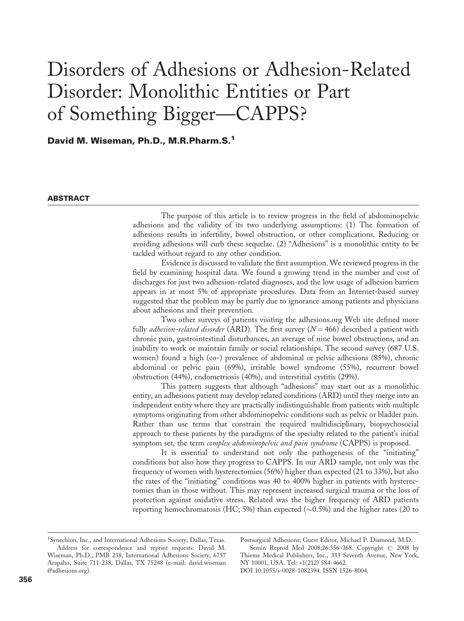# Disorders of Adhesions or Adhesion-Related Disorder: Monolithic Entities or Part of Something Bigger—CAPPS?

David M. Wiseman, Ph.D., M.R.Pharm.S.<sup>1</sup>

#### ABSTRACT

The purpose of this article is to review progress in the field of abdominopelvic adhesions and the validity of its two underlying assumptions: (1) The formation of adhesions results in infertility, bowel obstruction, or other complications. Reducing or avoiding adhesions will curb these sequelae. (2) ''Adhesions'' is a monolithic entity to be tackled without regard to any other condition.

Evidence is discussed to validate the first assumption. We reviewed progress in the field by examining hospital data. We found a growing trend in the number and cost of discharges for just two adhesion-related diagnoses, and the low usage of adhesion barriers appears in at most 5% of appropriate procedures. Data from an Internet-based survey suggested that the problem may be partly due to ignorance among patients and physicians about adhesions and their prevention.

Two other surveys of patients visiting the adhesions.org Web site defined more fully *adhesion-related disorder* (ARD). The first survey ( $N = 466$ ) described a patient with chronic pain, gastrointestinal disturbances, an average of nine bowel obstructions, and an inability to work or maintain family or social relationships. The second survey (687 U.S. women) found a high (co-) prevalence of abdominal or pelvic adhesions (85%), chronic abdominal or pelvic pain (69%), irritable bowel syndrome (55%), recurrent bowel obstruction (44%), endometriosis (40%), and interstitial cystitis (29%).

This pattern suggests that although ''adhesions'' may start out as a monolithic entity, an adhesions patient may develop related conditions (ARD) until they merge into an independent entity where they are practically indistinguishable from patients with multiple symptoms originating from other abdominopelvic conditions such as pelvic or bladder pain. Rather than use terms that constrain the required multidisciplinary, biopsychosocial approach to these patients by the paradigms of the specialty related to the patient's initial symptom set, the term *complex abdominopelvic and pain syndrome* (CAPPS) is proposed.

It is essential to understand not only the pathogenesis of the ''initiating'' conditions but also how they progress to CAPPS. In our ARD sample, not only was the frequency of women with hysterectomies (56%) higher than expected (21 to 33%), but also the rates of the ''initiating'' conditions was 40 to 400% higher in patients with hysterectomies than in those without. This may represent increased surgical trauma or the loss of protection against oxidative stress. Related was the higher frequency of ARD patients reporting hemochromatosis (HC; 5%) than expected ( $\sim$ 0.5%) and the higher rates (20 to

<sup>&</sup>lt;sup>1</sup>Synechion, Inc., and International Adhesions Society, Dallas, Texas. Address for correspondence and reprint requests: David M. Wiseman, Ph.D., PMB 238, International Adhesions Society, 6757 Arapaho, Suite 711-238, Dallas, TX 75248 (e-mail: david.wiseman @adhesions.org).

Postsurgical Adhesions; Guest Editor, Michael P. Diamond, M.D.

Semin Reprod Med 2008;26:356-368. Copyright  $\odot$  2008 by Thieme Medical Publishers, Inc., 333 Seventh Avenue, New York, NY 10001, USA. Tel: +1(212) 584-4662.

DOI 10.1055/s-0028-1082394. ISSN 1526-8004.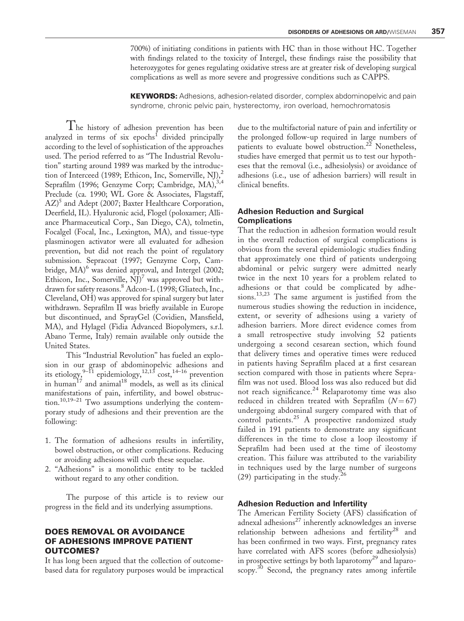700%) of initiating conditions in patients with HC than in those without HC. Together with findings related to the toxicity of Intergel, these findings raise the possibility that heterozygotes for genes regulating oxidative stress are at greater risk of developing surgical complications as well as more severe and progressive conditions such as CAPPS.

KEYWORDS: Adhesions, adhesion-related disorder, complex abdominopelvic and pain syndrome, chronic pelvic pain, hysterectomy, iron overload, hemochromatosis

 $\Gamma$  he history of adhesion prevention has been analyzed in terms of six epochs<sup>1</sup> divided principally according to the level of sophistication of the approaches used. The period referred to as ''The Industrial Revolution'' starting around 1989 was marked by the introduction of Interceed (1989; Ethicon, Inc, Somerville, NJ), $^{2}$ Seprafilm (1996; Genzyme Corp; Cambridge, MA),<sup>3,4</sup> Preclude (ca. 1990; WL Gore & Associates, Flagstaff,  $AZ)^5$  and Adept (2007; Baxter Healthcare Corporation, Deerfield, IL). Hyaluronic acid, Flogel (poloxamer; Alliance Pharmaceutical Corp., San Diego, CA), tolmetin, Focalgel (Focal, Inc., Lexington, MA), and tissue-type plasminogen activator were all evaluated for adhesion prevention, but did not reach the point of regulatory submission. Sepracoat (1997; Genzyme Corp, Cambridge,  $MA$ <sup>6</sup> was denied approval, and Intergel (2002; Ethicon, Inc., Somerville,  $NJ$ )<sup>7</sup> was approved but withdrawn for safety reasons.<sup>8</sup> Adcon-L (1998; Gliatech, Inc., Cleveland, OH) was approved for spinal surgery but later withdrawn. Seprafilm II was briefly available in Europe but discontinued, and SprayGel (Covidien, Mansfield, MA), and Hylagel (Fidia Advanced Biopolymers, s.r.l. Abano Terme, Italy) remain available only outside the United States.

This "Industrial Revolution" has fueled an explosion in our grasp of abdominopelvic adhesions and its etiology, $9-11$  epidemiology, $12,13$  cost, $14-16$  prevention in human<sup>17</sup> and animal<sup>18</sup> models, as well as its clinical manifestations of pain, infertility, and bowel obstruction.<sup>10,19–21</sup> Two assumptions underlying the contemporary study of adhesions and their prevention are the following:

- 1. The formation of adhesions results in infertility, bowel obstruction, or other complications. Reducing or avoiding adhesions will curb these sequelae.
- 2. "Adhesions" is a monolithic entity to be tackled without regard to any other condition.

The purpose of this article is to review our progress in the field and its underlying assumptions.

# DOES REMOVAL OR AVOIDANCE OF ADHESIONS IMPROVE PATIENT OUTCOMES?

It has long been argued that the collection of outcomebased data for regulatory purposes would be impractical due to the multifactorial nature of pain and infertility or the prolonged follow-up required in large numbers of patients to evaluate bowel obstruction.<sup>22</sup> Nonetheless, studies have emerged that permit us to test our hypotheses that the removal (i.e., adhesiolysis) or avoidance of adhesions (i.e., use of adhesion barriers) will result in clinical benefits.

# Adhesion Reduction and Surgical **Complications**

That the reduction in adhesion formation would result in the overall reduction of surgical complications is obvious from the several epidemiologic studies finding that approximately one third of patients undergoing abdominal or pelvic surgery were admitted nearly twice in the next 10 years for a problem related to adhesions or that could be complicated by adhesions.<sup>13,23</sup> The same argument is justified from the numerous studies showing the reduction in incidence, extent, or severity of adhesions using a variety of adhesion barriers. More direct evidence comes from a small retrospective study involving 52 patients undergoing a second cesarean section, which found that delivery times and operative times were reduced in patients having Seprafilm placed at a first cesarean section compared with those in patients where Seprafilm was not used. Blood loss was also reduced but did not reach significance.<sup>24</sup> Relaparotomy time was also reduced in children treated with Seprafilm  $(N = 67)$ undergoing abdominal surgery compared with that of control patients.<sup>25</sup> A prospective randomized study failed in 191 patients to demonstrate any significant differences in the time to close a loop ileostomy if Seprafilm had been used at the time of ileostomy creation. This failure was attributed to the variability in techniques used by the large number of surgeons (29) participating in the study. $26$ 

#### Adhesion Reduction and Infertility

The American Fertility Society (AFS) classification of adnexal adhesions<sup>27</sup> inherently acknowledges an inverse relationship between adhesions and fertility<sup>28</sup> and has been confirmed in two ways. First, pregnancy rates have correlated with AFS scores (before adhesiolysis) in prospective settings by both laparotomy<sup>29</sup> and laparoscopy.<sup>30</sup> Second, the pregnancy rates among infertile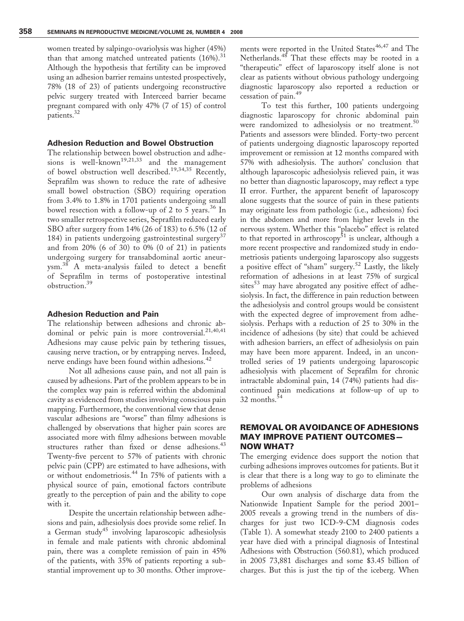women treated by salpingo-ovariolysis was higher (45%) than that among matched untreated patients  $(16\%)$ .<sup>31</sup> Although the hypothesis that fertility can be improved using an adhesion barrier remains untested prospectively, 78% (18 of 23) of patients undergoing reconstructive pelvic surgery treated with Interceed barrier became pregnant compared with only 47% (7 of 15) of control patients.<sup>32</sup>

### Adhesion Reduction and Bowel Obstruction

The relationship between bowel obstruction and adhesions is well-known<sup>19,21,33</sup> and the management of bowel obstruction well described.19,34,35 Recently, Seprafilm was shown to reduce the rate of adhesive small bowel obstruction (SBO) requiring operation from 3.4% to 1.8% in 1701 patients undergoing small bowel resection with a follow-up of 2 to 5 years.<sup>36</sup> In two smaller retrospective series, Seprafilm reduced early SBO after surgery from 14% (26 of 183) to 6.5% (12 of 184) in patients undergoing gastrointestinal surgery<sup>37</sup> and from 20% (6 of 30) to 0% (0 of 21) in patients undergoing surgery for transabdominal aortic aneurysm. <sup>38</sup> A meta-analysis failed to detect a benefit of Seprafilm in terms of postoperative intestinal obstruction.<sup>39</sup>

#### Adhesion Reduction and Pain

The relationship between adhesions and chronic abdominal or pelvic pain is more controversial.<sup>21,40,41</sup> Adhesions may cause pelvic pain by tethering tissues, causing nerve traction, or by entrapping nerves. Indeed, nerve endings have been found within adhesions.<sup>42</sup>

Not all adhesions cause pain, and not all pain is caused by adhesions. Part of the problem appears to be in the complex way pain is referred within the abdominal cavity as evidenced from studies involving conscious pain mapping. Furthermore, the conventional view that dense vascular adhesions are ''worse'' than filmy adhesions is challenged by observations that higher pain scores are associated more with filmy adhesions between movable structures rather than fixed or dense adhesions.<sup>43</sup> Twenty-five percent to 57% of patients with chronic pelvic pain (CPP) are estimated to have adhesions, with or without endometriosis.<sup>44</sup> In 75% of patients with a physical source of pain, emotional factors contribute greatly to the perception of pain and the ability to cope with it.

Despite the uncertain relationship between adhesions and pain, adhesiolysis does provide some relief. In a German study<sup>45</sup> involving laparoscopic adhesiolysis in female and male patients with chronic abdominal pain, there was a complete remission of pain in 45% of the patients, with 35% of patients reporting a substantial improvement up to 30 months. Other improve-

ments were reported in the United States $46,47$  and The Netherlands.<sup>48</sup> That these effects may be rooted in a "therapeutic" effect of laparoscopy itself alone is not clear as patients without obvious pathology undergoing diagnostic laparoscopy also reported a reduction or cessation of pain.<sup>49</sup>

To test this further, 100 patients undergoing diagnostic laparoscopy for chronic abdominal pain were randomized to adhesiolysis or no treatment.<sup>50</sup> Patients and assessors were blinded. Forty-two percent of patients undergoing diagnostic laparoscopy reported improvement or remission at 12 months compared with 57% with adhesiolysis. The authors' conclusion that although laparoscopic adhesiolysis relieved pain, it was no better than diagnostic laparoscopy, may reflect a type II error. Further, the apparent benefit of laparoscopy alone suggests that the source of pain in these patients may originate less from pathologic (i.e., adhesions) foci in the abdomen and more from higher levels in the nervous system. Whether this ''placebo'' effect is related to that reported in arthroscopy<sup>51</sup> is unclear, although a more recent prospective and randomized study in endometriosis patients undergoing laparoscopy also suggests a positive effect of ''sham'' surgery.<sup>52</sup> Lastly, the likely reformation of adhesions in at least 75% of surgical sites $53$  may have abrogated any positive effect of adhesiolysis. In fact, the difference in pain reduction between the adhesiolysis and control groups would be consistent with the expected degree of improvement from adhesiolysis. Perhaps with a reduction of 25 to 30% in the incidence of adhesions (by site) that could be achieved with adhesion barriers, an effect of adhesiolysis on pain may have been more apparent. Indeed, in an uncontrolled series of 19 patients undergoing laparoscopic adhesiolysis with placement of Seprafilm for chronic intractable abdominal pain, 14 (74%) patients had discontinued pain medications at follow-up of up to 32 months.<sup>54</sup>

# REMOVAL OR AVOIDANCE OF ADHESIONS MAY IMPROVE PATIENT OUTCOMES— NOW WHAT?

The emerging evidence does support the notion that curbing adhesions improves outcomes for patients. But it is clear that there is a long way to go to eliminate the problems of adhesions

Our own analysis of discharge data from the Nationwide Inpatient Sample for the period 2001– 2005 reveals a growing trend in the numbers of discharges for just two ICD-9-CM diagnosis codes (Table 1). A somewhat steady 2100 to 2400 patients a year have died with a principal diagnosis of Intestinal Adhesions with Obstruction (560.81), which produced in 2005 73,881 discharges and some \$3.45 billion of charges. But this is just the tip of the iceberg. When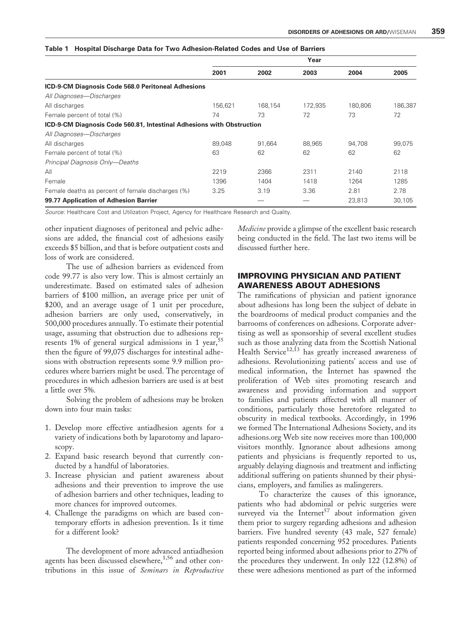|                                                                       |         |         | Year    |         |         |
|-----------------------------------------------------------------------|---------|---------|---------|---------|---------|
|                                                                       | 2001    | 2002    | 2003    | 2004    | 2005    |
| ICD-9-CM Diagnosis Code 568.0 Peritoneal Adhesions                    |         |         |         |         |         |
| All Diagnoses-Discharges                                              |         |         |         |         |         |
| All discharges                                                        | 156,621 | 168,154 | 172,935 | 180,806 | 186,387 |
| Female percent of total (%)                                           | 74      | 73      | 72      | 73      | 72      |
| ICD-9-CM Diagnosis Code 560.81, Intestinal Adhesions with Obstruction |         |         |         |         |         |
| All Diagnoses-Discharges                                              |         |         |         |         |         |
| All discharges                                                        | 89.048  | 91.664  | 88,965  | 94,708  | 99,075  |
| Female percent of total (%)                                           | 63      | 62      | 62      | 62      | 62      |
| Principal Diagnosis Only-Deaths                                       |         |         |         |         |         |
| All                                                                   | 2219    | 2366    | 2311    | 2140    | 2118    |
| Female                                                                | 1396    | 1404    | 1418    | 1264    | 1285    |
| Female deaths as percent of female discharges (%)                     | 3.25    | 3.19    | 3.36    | 2.81    | 2.78    |
| 99.77 Application of Adhesion Barrier                                 |         |         |         | 23,813  | 30,105  |

#### Table 1 Hospital Discharge Data for Two Adhesion-Related Codes and Use of Barriers

Source: Healthcare Cost and Utilization Project, Agency for Healthcare Research and Quality.

other inpatient diagnoses of peritoneal and pelvic adhesions are added, the financial cost of adhesions easily exceeds \$5 billion, and that is before outpatient costs and loss of work are considered.

The use of adhesion barriers as evidenced from code 99.77 is also very low. This is almost certainly an underestimate. Based on estimated sales of adhesion barriers of \$100 million, an average price per unit of \$200, and an average usage of 1 unit per procedure, adhesion barriers are only used, conservatively, in 500,000 procedures annually. To estimate their potential usage, assuming that obstruction due to adhesions represents 1% of general surgical admissions in 1 year,<sup>55</sup> then the figure of 99,075 discharges for intestinal adhesions with obstruction represents some 9.9 million procedures where barriers might be used. The percentage of procedures in which adhesion barriers are used is at best a little over 5%.

Solving the problem of adhesions may be broken down into four main tasks:

- 1. Develop more effective antiadhesion agents for a variety of indications both by laparotomy and laparoscopy.
- 2. Expand basic research beyond that currently conducted by a handful of laboratories.
- 3. Increase physician and patient awareness about adhesions and their prevention to improve the use of adhesion barriers and other techniques, leading to more chances for improved outcomes.
- 4. Challenge the paradigms on which are based contemporary efforts in adhesion prevention. Is it time for a different look?

The development of more advanced antiadhesion agents has been discussed elsewhere,<sup>1,56</sup> and other contributions in this issue of Seminars in Reproductive Medicine provide a glimpse of the excellent basic research being conducted in the field. The last two items will be discussed further here.

# IMPROVING PHYSICIAN AND PATIENT AWARENESS ABOUT ADHESIONS

The ramifications of physician and patient ignorance about adhesions has long been the subject of debate in the boardrooms of medical product companies and the barrooms of conferences on adhesions. Corporate advertising as well as sponsorship of several excellent studies such as those analyzing data from the Scottish National Health Service<sup>12,13</sup> has greatly increased awareness of adhesions. Revolutionizing patients' access and use of medical information, the Internet has spawned the proliferation of Web sites promoting research and awareness and providing information and support to families and patients affected with all manner of conditions, particularly those heretofore relegated to obscurity in medical textbooks. Accordingly, in 1996 we formed The International Adhesions Society, and its adhesions.org Web site now receives more than 100,000 visitors monthly. Ignorance about adhesions among patients and physicians is frequently reported to us, arguably delaying diagnosis and treatment and inflicting additional suffering on patients shunned by their physicians, employers, and families as malingerers.

To characterize the causes of this ignorance, patients who had abdominal or pelvic surgeries were surveyed via the  $Internet^{57}$  about information given them prior to surgery regarding adhesions and adhesion barriers. Five hundred seventy (43 male, 527 female) patients responded concerning 952 procedures. Patients reported being informed about adhesions prior to 27% of the procedures they underwent. In only 122 (12.8%) of these were adhesions mentioned as part of the informed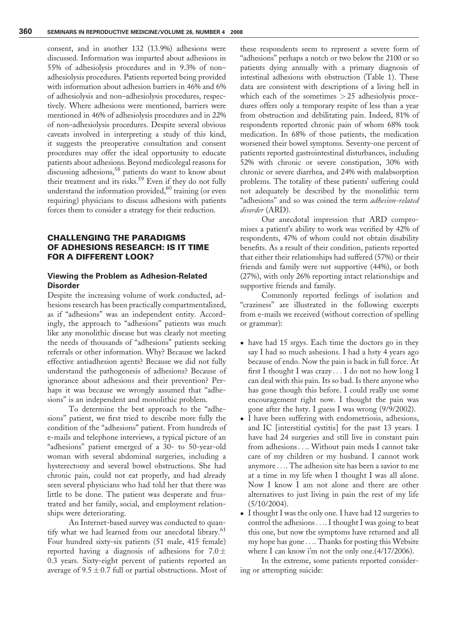consent, and in another 132 (13.9%) adhesions were discussed. Information was imparted about adhesions in 55% of adhesiolysis procedures and in 9.3% of non– adhesiolysis procedures. Patients reported being provided with information about adhesion barriers in 46% and 6% of adhesiolysis and non–adhesiolysis procedures, respectively. Where adhesions were mentioned, barriers were mentioned in 46% of adhesiolysis procedures and in 22% of non–adhesiolysis procedures. Despite several obvious caveats involved in interpreting a study of this kind, it suggests the preoperative consultation and consent procedures may offer the ideal opportunity to educate patients about adhesions. Beyond medicolegal reasons for discussing adhesions,<sup>58</sup> patients do want to know about their treatment and its risks.<sup>59</sup> Even if they do not fully understand the information provided, $60$  training (or even requiring) physicians to discuss adhesions with patients forces them to consider a strategy for their reduction.

# CHALLENGING THE PARADIGMS OF ADHESIONS RESEARCH: IS IT TIME FOR A DIFFERENT LOOK?

# Viewing the Problem as Adhesion-Related Disorder

Despite the increasing volume of work conducted, adhesions research has been practically compartmentalized, as if ''adhesions'' was an independent entity. Accordingly, the approach to "adhesions" patients was much like any monolithic disease but was clearly not meeting the needs of thousands of ''adhesions'' patients seeking referrals or other information. Why? Because we lacked effective antiadhesion agents? Because we did not fully understand the pathogenesis of adhesions? Because of ignorance about adhesions and their prevention? Perhaps it was because we wrongly assumed that "adhesions'' is an independent and monolithic problem.

To determine the best approach to the ''adhesions'' patient, we first tried to describe more fully the condition of the ''adhesions'' patient. From hundreds of e-mails and telephone interviews, a typical picture of an "adhesions" patient emerged of a 30- to 50-year-old woman with several abdominal surgeries, including a hysterectomy and several bowel obstructions. She had chronic pain, could not eat properly, and had already seen several physicians who had told her that there was little to be done. The patient was desperate and frustrated and her family, social, and employment relationships were deteriorating.

An Internet-based survey was conducted to quantify what we had learned from our anecdotal library.<sup>61</sup> Four hundred sixty-six patients (51 male, 415 female) reported having a diagnosis of adhesions for 7.0  $\pm$ 0.3 years. Sixty-eight percent of patients reported an average of 9.5  $\pm$  0.7 full or partial obstructions. Most of

these respondents seem to represent a severe form of "adhesions" perhaps a notch or two below the 2100 or so patients dying annually with a primary diagnosis of intestinal adhesions with obstruction (Table 1). These data are consistent with descriptions of a living hell in which each of the sometimes  $> 25$  adhesiolysis procedures offers only a temporary respite of less than a year from obstruction and debilitating pain. Indeed, 81% of respondents reported chronic pain of whom 68% took medication. In 68% of those patients, the medication worsened their bowel symptoms. Seventy-one percent of patients reported gastrointestinal disturbances, including 52% with chronic or severe constipation, 30% with chronic or severe diarrhea, and 24% with malabsorption problems. The totality of these patients' suffering could not adequately be described by the monolithic term "adhesions" and so was coined the term *adhesion-related* disorder (ARD).

Our anecdotal impression that ARD compromises a patient's ability to work was verified by 42% of respondents, 47% of whom could not obtain disability benefits. As a result of their condition, patients reported that either their relationships had suffered (57%) or their friends and family were not supportive (44%), or both (27%), with only 26% reporting intact relationships and supportive friends and family.

Commonly reported feelings of isolation and "craziness" are illustrated in the following excerpts from e-mails we received (without correction of spelling or grammar):

- have had 15 srgys. Each time the doctors go in they say I had so much ashesions. I had a hsty 4 years ago because of endo. Now the pain is back in full force. At first I thought I was crazy ... I do not no how long I can deal with this pain. Its so bad. Is there anyone who has gone though this before. I could really use some encouragement right now. I thought the pain was gone after the hsty. I guess I was wrong (9/9/2002).
- I have been suffering with endometriosis, adhesions, and IC [interstitial cystitis] for the past 13 years. I have had 24 surgeries and still live in constant pain from adhesions.... Without pain meds I cannot take care of my children or my husband. I cannot work anymore .... The adhesion site has been a savior to me at a time in my life when I thought I was all alone. Now I know I am not alone and there are other alternatives to just living in pain the rest of my life (5/10/2004).
- I thought I was the only one. I have had 12 surgeries to control the adhesions.... I thought I was going to beat this one, but now the symptoms have returned and all my hope has gone .... Thanks for posting this Website where I can know i'm not the only one.  $(4/17/2006)$ .

In the extreme, some patients reported considering or attempting suicide: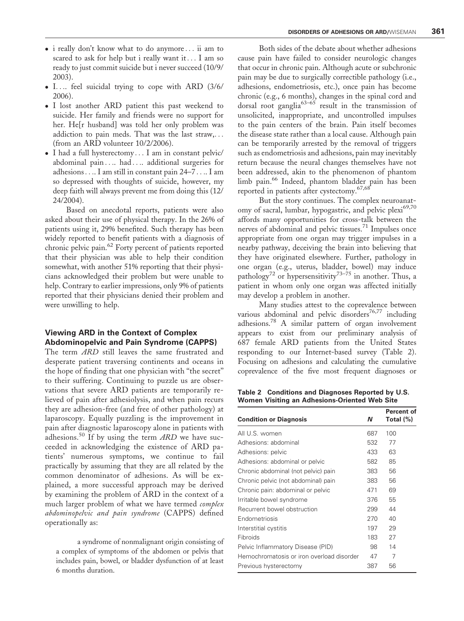- i really don't know what to do anymore ... ii am to scared to ask for help but i really want it... I am so ready to just commit suicide but i never succeed (10/9/ 2003).
- I.... feel suicidal trying to cope with ARD (3/6/ 2006).
- I lost another ARD patient this past weekend to suicide. Her family and friends were no support for her. He[r husband] was told her only problem was addiction to pain meds. That was the last straw,... (from an ARD volunteer 10/2/2006).
- I had a full hysterectomy . . . I am in constant pelvic/ abdominal pain .... had .... additional surgeries for adhesions.... I am still in constant pain 24–7 .... I am so depressed with thoughts of suicide, however, my deep faith will always prevent me from doing this (12/ 24/2004).

Based on anecdotal reports, patients were also asked about their use of physical therapy. In the 26% of patients using it, 29% benefited. Such therapy has been widely reported to benefit patients with a diagnosis of chronic pelvic pain.<sup>62</sup> Forty percent of patients reported that their physician was able to help their condition somewhat, with another 51% reporting that their physicians acknowledged their problem but were unable to help. Contrary to earlier impressions, only 9% of patients reported that their physicians denied their problem and were unwilling to help.

# Viewing ARD in the Context of Complex Abdominopelvic and Pain Syndrome (CAPPS)

The term ARD still leaves the same frustrated and desperate patient traversing continents and oceans in the hope of finding that one physician with ''the secret'' to their suffering. Continuing to puzzle us are observations that severe ARD patients are temporarily relieved of pain after adhesiolysis, and when pain recurs they are adhesion-free (and free of other pathology) at laparoscopy. Equally puzzling is the improvement in pain after diagnostic laparoscopy alone in patients with adhesions.<sup>50</sup> If by using the term  $ARD$  we have succeeded in acknowledging the existence of ARD patients' numerous symptoms, we continue to fail practically by assuming that they are all related by the common denominator of adhesions. As will be explained, a more successful approach may be derived by examining the problem of ARD in the context of a much larger problem of what we have termed complex abdominopelvic and pain syndrome (CAPPS) defined operationally as:

a syndrome of nonmalignant origin consisting of a complex of symptoms of the abdomen or pelvis that includes pain, bowel, or bladder dysfunction of at least 6 months duration.

Both sides of the debate about whether adhesions cause pain have failed to consider neurologic changes that occur in chronic pain. Although acute or subchronic pain may be due to surgically correctible pathology (i.e., adhesions, endometriosis, etc.), once pain has become chronic (e.g., 6 months), changes in the spinal cord and  $d$ orsal root ganglia<sup>63–65</sup> result in the transmission of unsolicited, inappropriate, and uncontrolled impulses to the pain centers of the brain. Pain itself becomes the disease state rather than a local cause. Although pain can be temporarily arrested by the removal of triggers such as endometriosis and adhesions, pain may inevitably return because the neural changes themselves have not been addressed, akin to the phenomenon of phantom limb pain.<sup>66</sup> Indeed, phantom bladder pain has been reported in patients after cystectomy.<sup>67,68</sup>

But the story continues. The complex neuroanatomy of sacral, lumbar, hypogastric, and pelvic plexi<sup>69,70</sup> affords many opportunities for cross-talk between the nerves of abdominal and pelvic tissues.<sup>71</sup> Impulses once appropriate from one organ may trigger impulses in a nearby pathway, deceiving the brain into believing that they have originated elsewhere. Further, pathology in one organ (e.g., uterus, bladder, bowel) may induce pathology<sup>72</sup> or hypersensitivity<sup>73–75</sup> in another. Thus, a patient in whom only one organ was affected initially may develop a problem in another.

Many studies attest to the coprevalence between various abdominal and pelvic disorders<sup>76,77</sup> including adhesions.78 A similar pattern of organ involvement appears to exist from our preliminary analysis of 687 female ARD patients from the United States responding to our Internet-based survey (Table 2). Focusing on adhesions and calculating the cumulative coprevalence of the five most frequent diagnoses or

Table 2 Conditions and Diagnoses Reported by U.S. Women Visiting an Adhesions-Oriented Web Site

| <b>Condition or Diagnosis</b>             | N   | Percent of<br>Total (%) |
|-------------------------------------------|-----|-------------------------|
| All U.S. women                            | 687 | 100                     |
| Adhesions: abdominal                      | 532 | 77                      |
| Adhesions: pelvic                         | 433 | 63                      |
| Adhesions: abdominal or pelvic            | 582 | 85                      |
| Chronic abdominal (not pelvic) pain       | 383 | 56                      |
| Chronic pelvic (not abdominal) pain       | 383 | 56                      |
| Chronic pain: abdominal or pelvic         | 471 | 69                      |
| Irritable bowel syndrome                  | 376 | 55                      |
| Recurrent bowel obstruction               | 299 | 44                      |
| Endometriosis                             | 270 | 40                      |
| Interstitial cystitis                     | 197 | 29                      |
| Fibroids                                  | 183 | 27                      |
| Pelvic Inflammatory Disease (PID)         | 98  | 14                      |
| Hemochromatosis or iron overload disorder | 47  | 7                       |
| Previous hysterectomy                     | 387 | 56                      |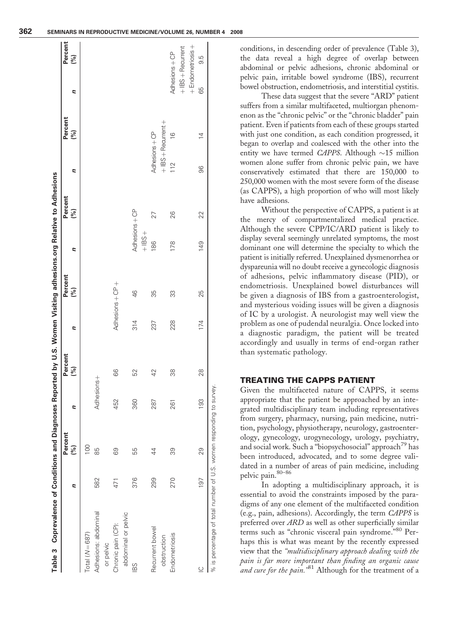| Table 3 Coprevalence of Conditions and Diagnoses Reported by U.S. Women Visiting adhesions.org Relative to Adhesions |     |                  |            |                |                  |                      |                |                |                |                       |                       |                      |
|----------------------------------------------------------------------------------------------------------------------|-----|------------------|------------|----------------|------------------|----------------------|----------------|----------------|----------------|-----------------------|-----------------------|----------------------|
|                                                                                                                      | ς   | Percent<br>(%)   | ς          | Percent<br>(%) | Z                | Percent<br>$($ % $)$ | ς              | Percent<br>(%) | ς              | Percent<br>၉၅         | Z                     | Percent<br>$($ % $)$ |
| Total $(N = 687)$                                                                                                    |     | $\overline{100}$ |            |                |                  |                      |                |                |                |                       |                       |                      |
| Adhesions: abdominal                                                                                                 | 582 | 88               | Adhesions+ |                |                  |                      |                |                |                |                       |                       |                      |
| or pelvic                                                                                                            |     |                  |            |                |                  |                      |                |                |                |                       |                       |                      |
| Chronic pain (CP):                                                                                                   | 471 | 69               | 452        | 80             | Adhesions + CP + |                      |                |                |                |                       |                       |                      |
| abdominal or pelvic                                                                                                  |     |                  |            |                |                  |                      |                |                |                |                       |                       |                      |
| BS                                                                                                                   | 376 | 55               | 360        | 52             | 314              | 46                   | Adhesions + CP |                |                |                       |                       |                      |
|                                                                                                                      |     |                  |            |                |                  |                      | $+$ SSH +      |                |                |                       |                       |                      |
| Recurrent bowel                                                                                                      | 299 | 44               | 287        | 42             | 237              | 35                   | 186            | 27             | Adhesions + CP |                       |                       |                      |
| obstruction                                                                                                          |     |                  |            |                |                  |                      |                |                |                | $+$ IBS + Recurrent + |                       |                      |
| Endometriosis                                                                                                        | 270 | 89               | 261        | 88             | 228              | ကွ                   | 178            | 26             | 112            | $\frac{6}{2}$         | Adhesions + CP        |                      |
|                                                                                                                      |     |                  |            |                |                  |                      |                |                |                |                       | $+$ IBS $+$ Recurrent |                      |
|                                                                                                                      |     |                  |            |                |                  |                      |                |                |                |                       | + Endometriosis +     |                      |
| Ç                                                                                                                    | 197 | 29               | 193        | 28             | 174              | 25                   | 149            | 22             | 96             | $\overline{4}$        | 65                    | 9.S                  |
| % is percentage of total number of U.S. women responding to survey.                                                  |     |                  |            |                |                  |                      |                |                |                |                       |                       |                      |

conditions, in descending order of prevalence (Table 3), the data reveal a high degree of overlap between abdominal or pelvic adhesions, chronic abdominal or pelvic pain, irritable bowel syndrome (IBS), recurrent bowel obstruction, endometriosis, and interstitial cystitis.

These data suggest that the severe "ARD" patient suffers from a similar multifaceted, multiorgan phenomenon as the ''chronic pelvic'' or the ''chronic bladder'' pain patient. Even if patients from each of these groups started with just one condition, as each condition progressed, it began to overlap and coalesced with the other into the entity we have termed CAPPS. Although  $\sim$ 15 million women alone suffer from chronic pelvic pain, we have conservatively estimated that there are 150,000 to 250,000 women with the most severe form of the disease (as CAPPS), a high proportion of who will most likely have adhesions.

Without the perspective of CAPPS, a patient is at the mercy of compartmentalized medical practice. Although the severe CPP/IC/ARD patient is likely to display several seemingly unrelated symptoms, the most dominant one will determine the specialty to which the patient is initially referred. Unexplained dysmenorrhea or dyspareunia will no doubt receive a gynecologic diagnosis of adhesions, pelvic inflammatory disease (PID), or endometriosis. Unexplained bowel disturbances will be given a diagnosis of IBS from a gastroenterologist, and mysterious voiding issues will be given a diagnosis of IC by a urologist. A neurologist may well view the problem as one of pudendal neuralgia. Once locked into a diagnostic paradigm, the patient will be treated accordingly and usually in terms of end-organ rather than systematic pathology.

### TREATING THE CAPPS PATIENT

Given the multifaceted nature of CAPPS, it seems appropriate that the patient be approached by an integrated multidisciplinary team including representatives from surgery, pharmacy, nursing, pain medicine, nutrition, psychology, physiotherapy, neurology, gastroenterology, gynecology, urogynecology, urology, psychiatry, and social work. Such a "biopsychosocial" approach<sup>79</sup> has been introduced, advocated, and to some degree validated in a number of areas of pain medicine, including pelvic pain.80–86

In adopting a multidisciplinary approach, it is essential to avoid the constraints imposed by the paradigms of any one element of the multifaceted condition (e.g., pain, adhesions). Accordingly, the term CAPPS is preferred over ARD as well as other superficially similar terms such as "chronic visceral pain syndrome."<sup>80</sup> Perhaps this is what was meant by the recently expressed view that the "multidisciplinary approach dealing with the pain is far more important than finding an organic cause and cure for the pain."<sup>81</sup> Although for the treatment of a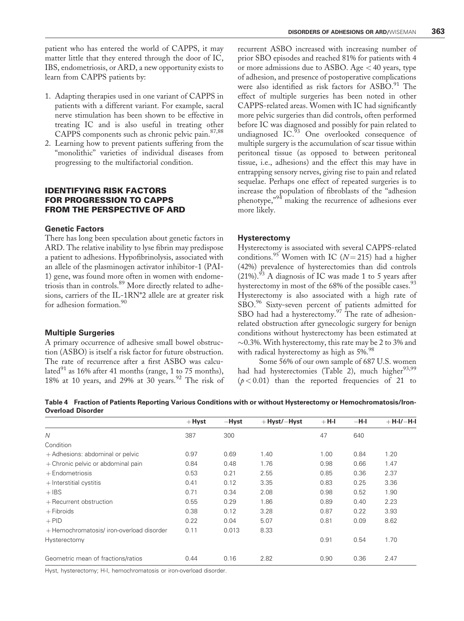patient who has entered the world of CAPPS, it may matter little that they entered through the door of IC, IBS, endometriosis, or ARD, a new opportunity exists to learn from CAPPS patients by:

- 1. Adapting therapies used in one variant of CAPPS in patients with a different variant. For example, sacral nerve stimulation has been shown to be effective in treating IC and is also useful in treating other CAPPS components such as chronic pelvic pain.<sup>87,88</sup>
- 2. Learning how to prevent patients suffering from the ''monolithic'' varieties of individual diseases from progressing to the multifactorial condition.

# IDENTIFYING RISK FACTORS FOR PROGRESSION TO CAPPS FROM THE PERSPECTIVE OF ARD

# Genetic Factors

There has long been speculation about genetic factors in ARD. The relative inability to lyse fibrin may predispose a patient to adhesions. Hypofibrinolysis, associated with an allele of the plasminogen activator inhibitor-1 (PAI-1) gene, was found more often in women with endometriosis than in controls.<sup>89</sup> More directly related to adhesions, carriers of the IL-1RN\*2 allele are at greater risk for adhesion formation.<sup>90</sup>

#### Multiple Surgeries

A primary occurrence of adhesive small bowel obstruction (ASBO) is itself a risk factor for future obstruction. The rate of recurrence after a first ASBO was calculated $91$  as 16% after 41 months (range, 1 to 75 months), 18% at 10 years, and 29% at 30 years.<sup>92</sup> The risk of

recurrent ASBO increased with increasing number of prior SBO episodes and reached 81% for patients with 4 or more admissions due to ASBO. Age  $\lt$  40 years, type of adhesion, and presence of postoperative complications were also identified as risk factors for ASBO.<sup>91</sup> The effect of multiple surgeries has been noted in other CAPPS-related areas. Women with IC had significantly more pelvic surgeries than did controls, often performed before IC was diagnosed and possibly for pain related to undiagnosed IC. $\frac{93}{9}$  One overlooked consequence of multiple surgery is the accumulation of scar tissue within peritoneal tissue (as opposed to between peritoneal tissue, i.e., adhesions) and the effect this may have in entrapping sensory nerves, giving rise to pain and related sequelae. Perhaps one effect of repeated surgeries is to increase the population of fibroblasts of the ''adhesion phenotype,"<sup>94</sup> making the recurrence of adhesions ever more likely.

#### Hysterectomy

Hysterectomy is associated with several CAPPS-related conditions.<sup>95</sup> Women with IC (N = 215) had a higher (42%) prevalence of hysterectomies than did controls  $(21\%)$ .<sup>93</sup> A diagnosis of IC was made 1 to 5 years after hysterectomy in most of the 68% of the possible cases.<sup>93</sup> Hysterectomy is also associated with a high rate of SBO.<sup>96</sup> Sixty-seven percent of patients admitted for SBO had had a hysterectomy.<sup>97</sup> The rate of adhesionrelated obstruction after gynecologic surgery for benign conditions without hysterectomy has been estimated at  $\sim$ 0.3%. With hysterectomy, this rate may be 2 to 3% and with radical hysterectomy as high as 5%.<sup>98</sup>

Some 56% of our own sample of 687 U.S. women had had hysterectomies (Table 2), much higher $93,99$  $(p < 0.01)$  than the reported frequencies of 21 to

Table 4 Fraction of Patients Reporting Various Conditions with or without Hysterectomy or Hemochromatosis/Iron-Overload Disorder

|                                           | $+$ Hyst | $-Hyst$ | $+$ Hyst/ $-$ Hyst | $+ H - I$ | -H-I | $+$ H-I/ $-$ H-I |
|-------------------------------------------|----------|---------|--------------------|-----------|------|------------------|
| $\overline{N}$                            | 387      | 300     |                    | 47        | 640  |                  |
| Condition                                 |          |         |                    |           |      |                  |
| + Adhesions: abdominal or pelvic          | 0.97     | 0.69    | 1.40               | 1.00      | 0.84 | 1.20             |
| $+$ Chronic pelvic or abdominal pain      | 0.84     | 0.48    | 1.76               | 0.98      | 0.66 | 1.47             |
| $+$ Endometriosis                         | 0.53     | 0.21    | 2.55               | 0.85      | 0.36 | 2.37             |
| $+$ Interstitial cystitis                 | 0.41     | 0.12    | 3.35               | 0.83      | 0.25 | 3.36             |
| $+$ IBS                                   | 0.71     | 0.34    | 2.08               | 0.98      | 0.52 | 1.90             |
| $+$ Recurrent obstruction                 | 0.55     | 0.29    | 1.86               | 0.89      | 0.40 | 2.23             |
| $+$ Fibroids                              | 0.38     | 0.12    | 3.28               | 0.87      | 0.22 | 3.93             |
| $+$ PID                                   | 0.22     | 0.04    | 5.07               | 0.81      | 0.09 | 8.62             |
| + Hemochromatosis/ iron-overload disorder | 0.11     | 0.013   | 8.33               |           |      |                  |
| Hysterectomy                              |          |         |                    | 0.91      | 0.54 | 1.70             |
| Geometric mean of fractions/ratios        | 0.44     | 0.16    | 2.82               | 0.90      | 0.36 | 2.47             |

Hyst, hysterectomy; H-I, hemochromatosis or iron-overload disorder.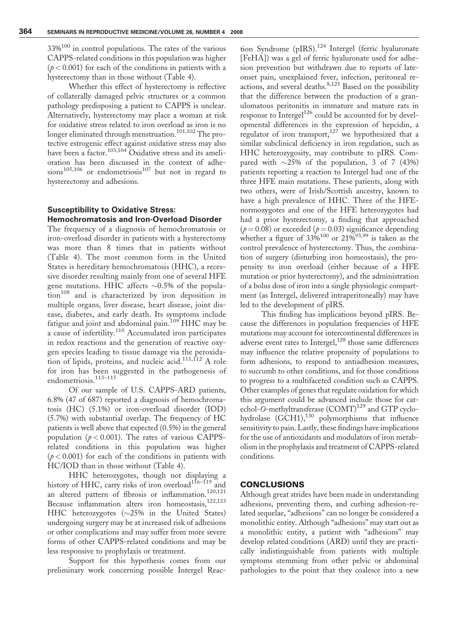$33\%$ <sup>100</sup> in control populations. The rates of the various CAPPS-related conditions in this population was higher  $(p < 0.001)$  for each of the conditions in patients with a hysterectomy than in those without (Table 4).

Whether this effect of hysterectomy is reflective of collaterally damaged pelvic structures or a common pathology predisposing a patient to CAPPS is unclear. Alternatively, hysterectomy may place a woman at risk for oxidative stress related to iron overload as iron is no longer eliminated through menstruation.<sup>101,102</sup> The protective estrogenic effect against oxidative stress may also have been a factor.<sup>103,104</sup> Oxidative stress and its amelioration has been discussed in the context of adhe $sions<sup>105,106</sup>$  or endometriosis<sup>107</sup> but not in regard to hysterectomy and adhesions.

#### Susceptibility to Oxidative Stress: Hemochromatosis and Iron-Overload Disorder

The frequency of a diagnosis of hemochromatosis or iron-overload disorder in patients with a hysterectomy was more than 8 times that in patients without (Table 4). The most common form in the United States is hereditary hemochromatosis (HHC), a recessive disorder resulting mainly from one of several HFE gene mutations. HHC affects  $\sim 0.5\%$  of the population<sup>108</sup> and is characterized by iron deposition in multiple organs, liver disease, heart disease, joint disease, diabetes, and early death. Its symptoms include fatigue and joint and abdominal pain.<sup>109</sup> HHC may be a cause of infertility.<sup>110</sup> Accumulated iron participates in redox reactions and the generation of reactive oxygen species leading to tissue damage via the peroxidation of lipids, proteins, and nucleic acid.<sup>111,112</sup> A role for iron has been suggested in the pathogenesis of endometriosis.<sup>113-115</sup>

Of our sample of U.S. CAPPS-ARD patients, 6.8% (47 of 687) reported a diagnosis of hemochromatosis (HC) (5.1%) or iron-overload disorder (IOD) (5.7%) with substantial overlap. The frequency of HC patients is well above that expected (0.5%) in the general population ( $p < 0.001$ ). The rates of various CAPPSrelated conditions in this population was higher  $(p < 0.001)$  for each of the conditions in patients with HC/IOD than in those without (Table 4).

HHC heterozygotes, though not displaying a history of HHC, carry risks of iron overload<sup>116–119</sup> and an altered pattern of fibrosis or inflammation.<sup>120,121</sup> Because inflammation alters iron homeostasis,122,123 HHC heterozygotes  $(\sim 25\%$  in the United States) undergoing surgery may be at increased risk of adhesions or other complications and may suffer from more severe forms of other CAPPS-related conditions and may be less responsive to prophylaxis or treatment.

Support for this hypothesis comes from our preliminary work concerning possible Intergel Reac-

tion Syndrome (pIRS).<sup>124</sup> Intergel (ferric hyaluronate [FeHA]) was a gel of ferric hyaluronate used for adhesion prevention but withdrawn due to reports of lateonset pain, unexplained fever, infection, peritoneal reactions, and several deaths. $8,125$  Based on the possibility that the difference between the production of a granulomatous peritonitis in immature and mature rats in response to Intergel<sup>126</sup> could be accounted for by developmental differences in the expression of hepcidin, a regulator of iron transport,  $127$  we hypothesized that a similar subclinical deficiency in iron regulation, such as HHC heterozygosity, may contribute to pIRS. Compared with  $\sim$ 25% of the population, 3 of 7 (43%) patients reporting a reaction to Intergel had one of the three HFE main mutations. These patients, along with two others, were of Irish/Scottish ancestry, known to have a high prevalence of HHC. Three of the HFEnormozygotes and one of the HFE heterozygotes had had a prior hysterectomy, a finding that approached  $(p = 0.08)$  or exceeded  $(p = 0.03)$  significance depending whether a figure of  $33\frac{3}{9}$ <sup>100</sup> or  $21\frac{9}{9}$ <sup>93,99</sup> is taken as the control prevalence of hysterectomy. Thus, the combination of surgery (disturbing iron homeostasis), the propensity to iron overload (either because of a HFE mutation or prior hysterectomy), and the administration of a bolus dose of iron into a single physiologic compartment (as Intergel, delivered intraperitoneally) may have led to the development of pIRS.

This finding has implications beyond pIRS. Because the differences in population frequencies of HFE mutations may account for intercontinental differences in adverse event rates to Intergel,<sup>128</sup> those same differences may influence the relative propensity of populations to form adhesions, to respond to antiadhesion measures, to succumb to other conditions, and for those conditions to progress to a multifaceted condition such as CAPPS. Other examples of genes that regulate oxidation for which this argument could be advanced include those for catechol-O-methyltransferase (COMT)<sup>129</sup> and GTP cyclohydrolase  $(GCH1)$ ,<sup>130</sup> polymorphisms that influence sensitivity to pain. Lastly, these findings have implications for the use of antioxidants and modulators of iron metabolism in the prophylaxis and treatment of CAPPS-related conditions.

#### CONCLUSIONS

Although great strides have been made in understanding adhesions, preventing them, and curbing adhesion-related sequelae, "adhesions" can no longer be considered a monolithic entity. Although "adhesions" may start out as a monolithic entity, a patient with ''adhesions'' may develop related conditions (ARD) until they are practically indistinguishable from patients with multiple symptoms stemming from other pelvic or abdominal pathologies to the point that they coalesce into a new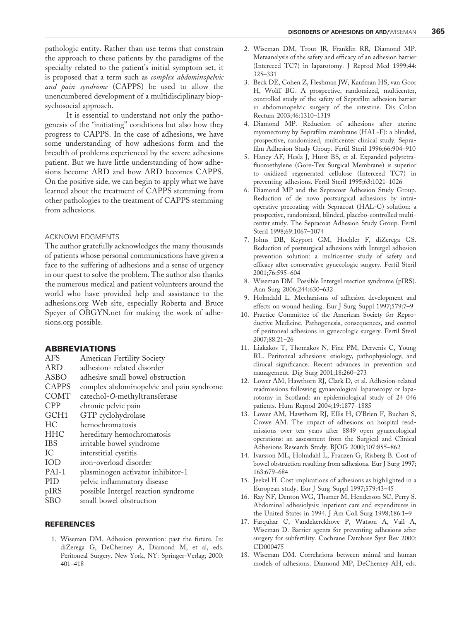pathologic entity. Rather than use terms that constrain the approach to these patients by the paradigms of the specialty related to the patient's initial symptom set, it is proposed that a term such as complex abdominopelvic and pain syndrome (CAPPS) be used to allow the unencumbered development of a multidisciplinary biopsychosocial approach.

It is essential to understand not only the pathogenesis of the ''initiating'' conditions but also how they progress to CAPPS. In the case of adhesions, we have some understanding of how adhesions form and the breadth of problems experienced by the severe adhesions patient. But we have little understanding of how adhesions become ARD and how ARD becomes CAPPS. On the positive side, we can begin to apply what we have learned about the treatment of CAPPS stemming from other pathologies to the treatment of CAPPS stemming from adhesions.

# ACKNOWLEDGMENTS

The author gratefully acknowledges the many thousands of patients whose personal communications have given a face to the suffering of adhesions and a sense of urgency in our quest to solve the problem. The author also thanks the numerous medical and patient volunteers around the world who have provided help and assistance to the adhesions.org Web site, especially Roberta and Bruce Speyer of OBGYN.net for making the work of adhesions.org possible.

#### ABBREVIATIONS

| AFS              | <b>American Fertility Society</b>        |
|------------------|------------------------------------------|
| ARD              | adhesion-related disorder                |
| ASBO             | adhesive small bowel obstruction         |
| <b>CAPPS</b>     | complex abdominopelvic and pain syndrome |
| <b>COMT</b>      | catechol-O-methyltransferase             |
| <b>CPP</b>       | chronic pelvic pain                      |
| GCH <sub>1</sub> | GTP cyclohydrolase                       |
| HС               | hemochromatosis                          |
| <b>HHC</b>       | hereditary hemochromatosis               |
| <b>IBS</b>       | irritable bowel syndrome                 |
| IC.              | interstitial cystitis                    |
| IOD              | iron-overload disorder                   |
| PAI-1            | plasminogen activator inhibitor-1        |
| <b>PID</b>       | pelvic inflammatory disease              |
| pIRS             | possible Intergel reaction syndrome      |
| SBO              | small bowel obstruction                  |
|                  |                                          |

#### **REFERENCES**

1. Wiseman DM. Adhesion prevention: past the future. In: diZerega G, DeCherney A, Diamond M, et al, eds. Peritoneal Surgery. New York, NY: Springer-Verlag; 2000: 401–418

- 2. Wiseman DM, Trout JR, Franklin RR, Diamond MP. Metaanalysis of the safety and efficacy of an adhesion barrier (Interceed TC7) in laparotomy. J Reprod Med 1999;44: 325–331
- 3. Beck DE, Cohen Z, Fleshman JW, Kaufman HS, van Goor H, Wolff BG. A prospective, randomized, multicenter, controlled study of the safety of Seprafilm adhesion barrier in abdominopelvic surgery of the intestine. Dis Colon Rectum 2003;46:1310–1319
- 4. Diamond MP. Reduction of adhesions after uterine myomectomy by Seprafilm membrane (HAL-F): a blinded, prospective, randomized, multicenter clinical study. Seprafilm Adhesion Study Group. Fertil Steril 1996;66:904–910
- 5. Haney AF, Hesla J, Hurst BS, et al. Expanded polytetrafluoroethylene (Gore-Tex Surgical Membrane) is superior to oxidized regenerated cellulose (Interceed TC7) in preventing adhesions. Fertil Steril 1995;63:1021–1026
- 6. Diamond MP and the Sepracoat Adhesion Study Group. Reduction of de novo postsurgical adhesions by intraoperative precoating with Sepracoat (HAL-C) solution: a prospective, randomized, blinded, placebo-controlled multicenter study. The Sepracoat Adhesion Study Group. Fertil Steril 1998;69:1067–1074
- 7. Johns DB, Keyport GM, Hoehler F, diZerega GS. Reduction of postsurgical adhesions with Intergel adhesion prevention solution: a multicenter study of safety and efficacy after conservative gynecologic surgery. Fertil Steril 2001;76:595–604
- 8. Wiseman DM. Possible Intergel reaction syndrome (pIRS). Ann Surg 2006;244:630–632
- 9. Holmdahl L. Mechanisms of adhesion development and effects on wound healing. Eur J Surg Suppl 1997;579:7–9
- 10. Practice Committee of the American Society for Reproductive Medicine. Pathogenesis, consequences, and control of peritoneal adhesions in gynecologic surgery. Fertil Steril 2007;88:21–26
- 11. Liakakos T, Thomakos N, Fine PM, Dervenis C, Young RL. Peritoneal adhesions: etiology, pathophysiology, and clinical significance. Recent advances in prevention and management. Dig Surg 2001;18:260–273
- 12. Lower AM, Hawthorn RJ, Clark D, et al. Adhesion-related readmissions following gynaecological laparoscopy or laparotomy in Scotland: an epidemiological study of 24 046 patients. Hum Reprod 2004;19:1877–1885
- 13. Lower AM, Hawthorn RJ, Ellis H, O'Brien F, Buchan S, Crowe AM. The impact of adhesions on hospital readmissions over ten years after 8849 open gynaecological operations: an assessment from the Surgical and Clinical Adhesions Research Study. BJOG 2000;107:855–862
- 14. Ivarsson ML, Holmdahl L, Franzen G, Risberg B. Cost of bowel obstruction resulting from adhesions. Eur J Surg 1997; 163:679–684
- 15. Jeekel H. Cost implications of adhesions as highlighted in a European study. Eur J Surg Suppl 1997;579:43–45
- 16. Ray NF, Denton WG, Thamer M, Henderson SC, Perry S. Abdominal adhesiolysis: inpatient care and expenditures in the United States in 1994. J Am Coll Surg 1998;186:1–9
- 17. Farquhar C, Vandekerckhove P, Watson A, Vail A, Wiseman D. Barrier agents for preventing adhesions after surgery for subfertility. Cochrane Database Syst Rev 2000: CD000475
- 18. Wiseman DM. Correlations between animal and human models of adhesions. Diamond MP, DeCherney AH, eds.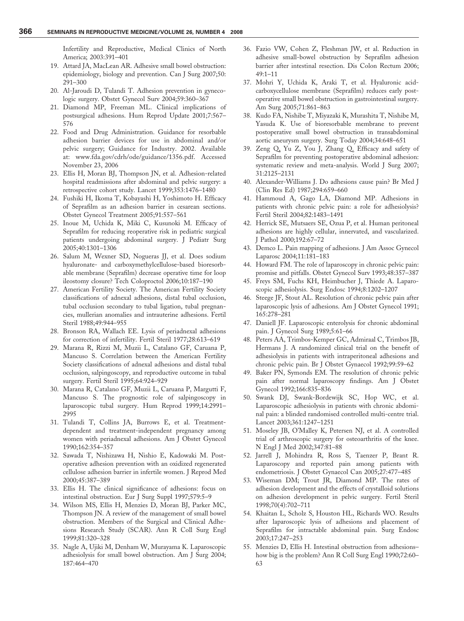Infertility and Reproductive, Medical Clinics of North America; 2003:391–401

- 19. Attard JA, MacLean AR. Adhesive small bowel obstruction: epidemiology, biology and prevention. Can J Surg 2007;50: 291–300
- 20. Al-Jaroudi D, Tulandi T. Adhesion prevention in gynecologic surgery. Obstet Gynecol Surv 2004;59:360–367
- 21. Diamond MP, Freeman ML. Clinical implications of postsurgical adhesions. Hum Reprod Update 2001;7:567– 576
- 22. Food and Drug Administration. Guidance for resorbable adhesion barrier devices for use in abdominal and/or pelvic surgery; Guidance for Industry. 2002. Available at: www.fda.gov/cdrh/ode/guidance/1356.pdf. Accessed November 23, 2006
- 23. Ellis H, Moran BJ, Thompson JN, et al. Adhesion-related hospital readmissions after abdominal and pelvic surgery: a retrospective cohort study. Lancet 1999;353:1476–1480
- 24. Fushiki H, Ikoma T, Kobayashi H, Yoshimoto H. Efficacy of Seprafilm as an adhesion barrier in cesarean sections. Obstet Gynecol Treatment 2005;91:557–561
- 25. Inoue M, Uchida K, Miki C, Kusunoki M. Efficacy of Seprafilm for reducing reoperative risk in pediatric surgical patients undergoing abdominal surgery. J Pediatr Surg 2005;40:1301–1306
- 26. Salum M, Wexner SD, Nogueras JJ, et al. Does sodium hyaluronate- and carboxymethylcellulose-based bioresorbable membrane (Seprafilm) decrease operative time for loop ileostomy closure? Tech Coloproctol 2006;10:187–190
- 27. American Fertility Society. The American Fertility Society classifications of adnexal adhesions, distal tubal occlusion, tubal occlusion secondary to tubal ligation, tubal pregnancies, mullerian anomalies and intrauterine adhesions. Fertil Steril 1988;49:944–955
- 28. Bronson RA, Wallach EE. Lysis of periadnexal adhesions for correction of infertility. Fertil Steril 1977;28:613–619
- 29. Marana R, Rizzi M, Muzii L, Catalano GF, Caruana P, Mancuso S. Correlation between the American Fertility Society classifications of adnexal adhesions and distal tubal occlusion, salpingoscopy, and reproductive outcome in tubal surgery. Fertil Steril 1995;64:924–929
- 30. Marana R, Catalano GF, Muzii L, Caruana P, Margutti F, Mancuso S. The prognostic role of salpingoscopy in laparoscopic tubal surgery. Hum Reprod 1999;14:2991– 2995
- 31. Tulandi T, Collins JA, Burrows E, et al. Treatmentdependent and treatment-independent pregnancy among women with periadnexal adhesions. Am J Obstet Gynecol 1990;162:354–357
- 32. Sawada T, Nishizawa H, Nishio E, Kadowaki M. Postoperative adhesion prevention with an oxidized regenerated cellulose adhesion barrier in infertile women. J Reprod Med 2000;45:387–389
- 33. Ellis H. The clinical significance of adhesions: focus on intestinal obstruction. Eur J Surg Suppl 1997;579:5–9
- 34. Wilson MS, Ellis H, Menzies D, Moran BJ, Parker MC, Thompson JN. A review of the management of small bowel obstruction. Members of the Surgical and Clinical Adhesions Research Study (SCAR). Ann R Coll Surg Engl 1999;81:320–328
- 35. Nagle A, Ujiki M, Denham W, Murayama K. Laparoscopic adhesiolysis for small bowel obstruction. Am J Surg 2004; 187:464–470
- 36. Fazio VW, Cohen Z, Fleshman JW, et al. Reduction in adhesive small-bowel obstruction by Seprafilm adhesion barrier after intestinal resection. Dis Colon Rectum 2006; 49:1–11
- 37. Mohri Y, Uchida K, Araki T, et al. Hyaluronic acidcarboxycellulose membrane (Seprafilm) reduces early postoperative small bowel obstruction in gastrointestinal surgery. Am Surg 2005;71:861–863
- 38. Kudo FA, Nishibe T, Miyazaki K, Murashita T, Nishibe M, Yasuda K. Use of bioresorbable membrane to prevent postoperative small bowel obstruction in transabdominal aortic aneurysm surgery. Surg Today 2004;34:648–651
- 39. Zeng Q, Yu Z, You J, Zhang Q. Efficacy and safety of Seprafilm for preventing postoperative abdominal adhesion: systematic review and meta-analysis. World J Surg 2007; 31:2125–2131
- 40. Alexander-Williams J. Do adhesions cause pain? Br Med J (Clin Res Ed) 1987;294:659–660
- 41. Hammoud A, Gago LA, Diamond MP. Adhesions in patients with chronic pelvic pain: a role for adhesiolysis? Fertil Steril 2004;82:1483–1491
- 42. Herrick SE, Mutsaers SE, Ozua P, et al. Human peritoneal adhesions are highly cellular, innervated, and vascularized. J Pathol 2000;192:67–72
- 43. Demco L. Pain mapping of adhesions. J Am Assoc Gynecol Laparosc 2004;11:181–183
- 44. Howard FM. The role of laparoscopy in chronic pelvic pain: promise and pitfalls. Obstet Gynecol Surv 1993;48:357–387
- 45. Freys SM, Fuchs KH, Heimbucher J, Thiede A. Laparoscopic adhesiolysis. Surg Endosc 1994;8:1202–1207
- 46. Steege JF, Stout AL. Resolution of chronic pelvic pain after laparoscopic lysis of adhesions. Am J Obstet Gynecol 1991; 165:278–281
- 47. Daniell JF. Laparoscopic enterolysis for chronic abdominal pain. J Gynecol Surg 1989;5:61–66
- 48. Peters AA, Trimbos-Kemper GC, Admiraal C, Trimbos JB, Hermans J. A randomized clinical trial on the benefit of adhesiolysis in patients with intraperitoneal adhesions and chronic pelvic pain. Br J Obstet Gynaecol 1992;99:59–62
- 49. Baker PN, Symonds EM. The resolution of chronic pelvic pain after normal laparoscopy findings. Am J Obstet Gynecol 1992;166:835–836
- 50. Swank DJ, Swank-Bordewijk SC, Hop WC, et al. Laparoscopic adhesiolysis in patients with chronic abdominal pain: a blinded randomised controlled multi-centre trial. Lancet 2003;361:1247–1251
- 51. Moseley JB, O'Malley K, Petersen NJ, et al. A controlled trial of arthroscopic surgery for osteoarthritis of the knee. N Engl J Med 2002;347:81–88
- 52. Jarrell J, Mohindra R, Ross S, Taenzer P, Brant R. Laparoscopy and reported pain among patients with endometriosis. J Obstet Gynaecol Can 2005;27:477–485
- 53. Wiseman DM; Trout JR, Diamond MP. The rates of adhesion development and the effects of crystalloid solutions on adhesion development in pelvic surgery. Fertil Steril 1998;70(4):702–711
- 54. Khaitan L, Scholz S, Houston HL, Richards WO. Results after laparoscopic lysis of adhesions and placement of Seprafilm for intractable abdominal pain. Surg Endosc 2003;17:247–253
- 55. Menzies D, Ellis H. Intestinal obstruction from adhesions– how big is the problem? Ann R Coll Surg Engl 1990;72:60– 63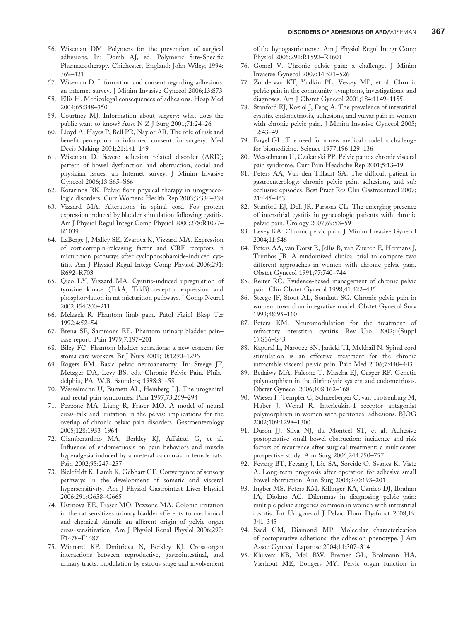- 56. Wiseman DM. Polymers for the prevention of surgical adhesions. In: Domb AJ, ed. Polymeric Site-Specific Pharmacotherapy. Chichester, England: John Wiley; 1994: 369–421
- 57. Wiseman D. Information and consent regarding adhesions: an internet survey. J Minim Invasive Gynecol 2006;13:S73
- 58. Ellis H. Medicolegal consequences of adhesions. Hosp Med 2004;65:348–350
- 59. Courtney MJ. Information about surgery: what does the public want to know? Aust N Z J Surg 2001;71:24–26
- 60. Lloyd A, Hayes P, Bell PR, Naylor AR. The role of risk and benefit perception in informed consent for surgery. Med Decis Making 2001;21:141–149
- 61. Wiseman D. Severe adhesion related disorder (ARD); pattern of bowel dysfunction and obstruction, social and physician issues: an Internet survey. J Minim Invasive Gynecol 2006;13:S65–S66
- 62. Kotarinos RK. Pelvic floor physical therapy in urogynecologic disorders. Curr Womens Health Rep 2003;3:334–339
- 63. Vizzard MA. Alterations in spinal cord Fos protein expression induced by bladder stimulation following cystitis. Am J Physiol Regul Integr Comp Physiol 2000;278:R1027– R1039
- 64. LaBerge J, Malley SE, Zvarova K, Vizzard MA. Expression of corticotropin-releasing factor and CRF receptors in micturition pathways after cyclophosphamide-induced cystitis. Am J Physiol Regul Integr Comp Physiol 2006;291: R692–R703
- 65. Qiao LY, Vizzard MA. Cystitis-induced upregulation of tyrosine kinase (TrkA, TrkB) receptor expression and phosphorylation in rat micturition pathways. J Comp Neurol 2002;454:200–211
- 66. Melzack R. Phantom limb pain. Patol Fiziol Eksp Ter 1992;4:52–54
- 67. Brena SF, Sammons EE. Phantom urinary bladder pain– case report. Pain 1979;7:197–201
- 68. Biley FC. Phantom bladder sensations: a new concern for stoma care workers. Br J Nurs 2001;10:1290–1296
- 69. Rogers RM. Basic pelvic neuroanatomy. In: Steege JF, Metzger DA, Levy BS, eds. Chronic Pelvic Pain. Philadelphia, PA: W.B. Saunders; 1998:31–58
- 70. Wesselmann U, Burnett AL, Heinberg LJ. The urogenital and rectal pain syndromes. Pain 1997;73:269–294
- 71. Pezzone MA, Liang R, Fraser MO. A model of neural cross-talk and irritation in the pelvis: implications for the overlap of chronic pelvic pain disorders. Gastroenterology 2005;128:1953–1964
- 72. Giamberardino MA, Berkley KJ, Affaitati G, et al. Influence of endometriosis on pain behaviors and muscle hyperalgesia induced by a ureteral calculosis in female rats. Pain 2002;95:247–257
- 73. Bielefeldt K, Lamb K, Gebhart GF. Convergence of sensory pathways in the development of somatic and visceral hypersensitivity. Am J Physiol Gastrointest Liver Physiol 2006;291:G658–G665
- 74. Ustinova EE, Fraser MO, Pezzone MA. Colonic irritation in the rat sensitizes urinary bladder afferents to mechanical and chemical stimuli: an afferent origin of pelvic organ cross-sensitization. Am J Physiol Renal Physiol 2006;290: F1478–F1487
- 75. Winnard KP, Dmitrieva N, Berkley KJ. Cross-organ interactions between reproductive, gastrointestinal, and urinary tracts: modulation by estrous stage and involvement

of the hypogastric nerve. Am J Physiol Regul Integr Comp Physiol 2006;291:R1592–R1601

- 76. Gomel V. Chronic pelvic pain: a challenge. J Minim Invasive Gynecol 2007;14:521–526
- 77. Zondervan KT, Yudkin PL, Vessey MP, et al. Chronic pelvic pain in the community–symptoms, investigations, and diagnoses. Am J Obstet Gynecol 2001;184:1149–1155
- 78. Stanford EJ, Koziol J, Feng A. The prevalence of interstitial cystitis, endometriosis, adhesions, and vulvar pain in women with chronic pelvic pain. J Minim Invasive Gynecol 2005; 12:43–49
- 79. Engel GL. The need for a new medical model: a challenge for biomedicine. Science 1977;196:129–136
- 80. Wesselmann U, Czakanski PP. Pelvic pain: a chronic visceral pain syndrome. Curr Pain Headache Rep 2001;5:13–19
- 81. Peters AA, Van den Tillaart SA. The difficult patient in gastroenterology: chronic pelvic pain, adhesions, and sub occlusive episodes. Best Pract Res Clin Gastroenterol 2007; 21:445–463
- 82. Stanford EJ, Dell JR, Parsons CL. The emerging presence of interstitial cystitis in gynecologic patients with chronic pelvic pain. Urology 2007;69:53–59
- 83. Levey KA. Chronic pelvic pain. J Minim Invasive Gynecol 2004;11:546
- 84. Peters AA, van Dorst E, Jellis B, van Zuuren E, Hermans J, Trimbos JB. A randomized clinical trial to compare two different approaches in women with chronic pelvic pain. Obstet Gynecol 1991;77:740–744
- 85. Reiter RC. Evidence-based management of chronic pelvic pain. Clin Obstet Gynecol 1998;41:422–435
- 86. Steege JF, Stout AL, Somkuti SG. Chronic pelvic pain in women: toward an integrative model. Obstet Gynecol Surv 1993;48:95–110
- 87. Peters KM. Neuromodulation for the treatment of refractory interstitial cystitis. Rev Urol 2002;4(Suppl 1):S36–S43
- 88. Kapural L, Narouze SN, Janicki TI, Mekhail N. Spinal cord stimulation is an effective treatment for the chronic intractable visceral pelvic pain. Pain Med 2006;7:440–443
- 89. Bedaiwy MA, Falcone T, Mascha EJ, Casper RF. Genetic polymorphism in the fibrinolytic system and endometriosis. Obstet Gynecol 2006;108:162–168
- 90. Wieser F, Tempfer C, Schneeberger C, van Trotsenburg M, Huber J, Wenzl R. Interleukin-1 receptor antagonist polymorphism in women with peritoneal adhesions. BJOG 2002;109:1298–1300
- 91. Duron JJ, Silva NJ, du Montcel ST, et al. Adhesive postoperative small bowel obstruction: incidence and risk factors of recurrence after surgical treatment: a multicenter prospective study. Ann Surg 2006;244:750–757
- 92. Fevang BT, Fevang J, Lie SA, Soreide O, Svanes K, Viste A. Long-term prognosis after operation for adhesive small bowel obstruction. Ann Surg 2004;240:193–201
- 93. Ingber MS, Peters KM, Killinger KA, Carrico DJ, Ibrahim IA, Diokno AC. Dilemmas in diagnosing pelvic pain: multiple pelvic surgeries common in women with interstitial cystitis. Int Urogynecol J Pelvic Floor Dysfunct 2008;19: 341–345
- 94. Saed GM, Diamond MP. Molecular characterization of postoperative adhesions: the adhesion phenotype. J Am Assoc Gynecol Laparosc 2004;11:307–314
- 95. Kluivers KB, Mol BW, Bremer GL, Brolmann HA, Vierhout ME, Bongers MY. Pelvic organ function in